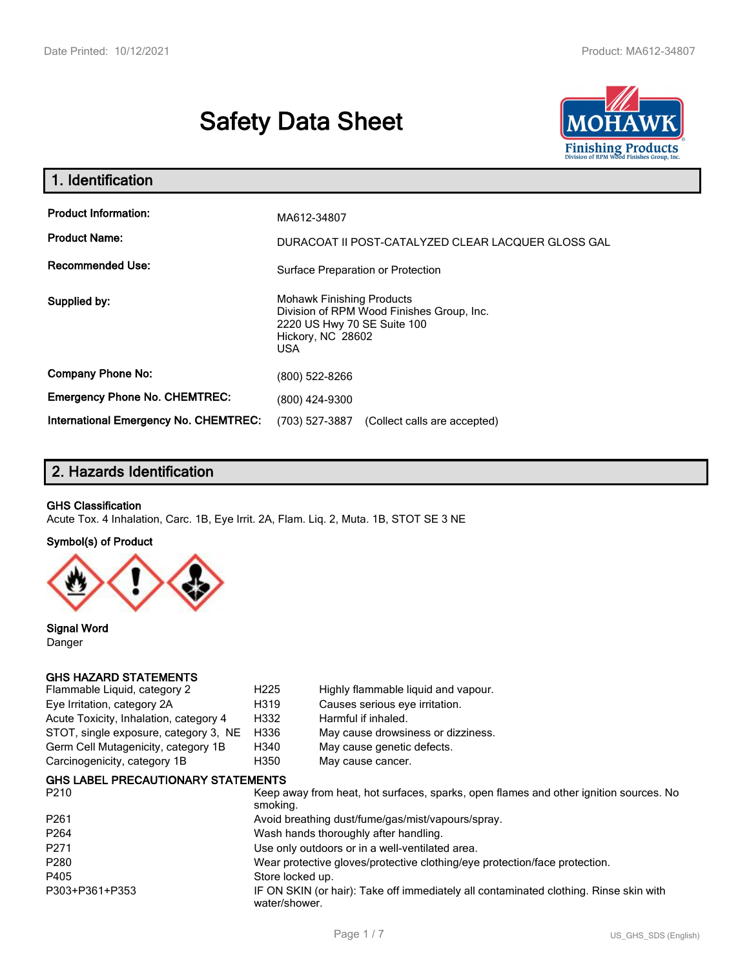# **Safety Data Sheet**



| 1. Identification                                                              |                                                                                                                                          |
|--------------------------------------------------------------------------------|------------------------------------------------------------------------------------------------------------------------------------------|
| <b>Product Information:</b><br><b>Product Name:</b><br><b>Recommended Use:</b> | MA612-34807<br>DURACOAT II POST-CATALYZED CLEAR LACQUER GLOSS GAL<br>Surface Preparation or Protection                                   |
| Supplied by:                                                                   | <b>Mohawk Finishing Products</b><br>Division of RPM Wood Finishes Group, Inc.<br>2220 US Hwy 70 SE Suite 100<br>Hickory, NC 28602<br>USA |
| <b>Company Phone No:</b>                                                       | (800) 522-8266                                                                                                                           |
| <b>Emergency Phone No. CHEMTREC:</b>                                           | (800) 424-9300                                                                                                                           |
| <b>International Emergency No. CHEMTREC:</b>                                   | (703) 527-3887<br>(Collect calls are accepted)                                                                                           |

# **2. Hazards Identification**

#### **GHS Classification**

Acute Tox. 4 Inhalation, Carc. 1B, Eye Irrit. 2A, Flam. Liq. 2, Muta. 1B, STOT SE 3 NE

#### **Symbol(s) of Product**



**Signal Word** Danger

#### **GHS HAZARD STATEMENTS**

| Flammable Liquid, category 2           | H <sub>225</sub> | Highly flammable liquid and vapour. |
|----------------------------------------|------------------|-------------------------------------|
| Eye Irritation, category 2A            | H319             | Causes serious eye irritation.      |
| Acute Toxicity, Inhalation, category 4 | H332             | Harmful if inhaled.                 |
| STOT, single exposure, category 3, NE  | H336             | May cause drowsiness or dizziness.  |
| Germ Cell Mutagenicity, category 1B    | H340             | May cause genetic defects.          |
| Carcinogenicity, category 1B           | H350             | May cause cancer.                   |
|                                        |                  |                                     |

#### **GHS LABEL PRECAUTIONARY STATEMENTS**

| P <sub>210</sub> | Keep away from heat, hot surfaces, sparks, open flames and other ignition sources. No<br>smoking.      |
|------------------|--------------------------------------------------------------------------------------------------------|
| P <sub>261</sub> | Avoid breathing dust/fume/gas/mist/vapours/spray.                                                      |
| P <sub>264</sub> | Wash hands thoroughly after handling.                                                                  |
| P <sub>271</sub> | Use only outdoors or in a well-ventilated area.                                                        |
| P280             | Wear protective gloves/protective clothing/eye protection/face protection.                             |
| P405             | Store locked up.                                                                                       |
| P303+P361+P353   | IF ON SKIN (or hair): Take off immediately all contaminated clothing. Rinse skin with<br>water/shower. |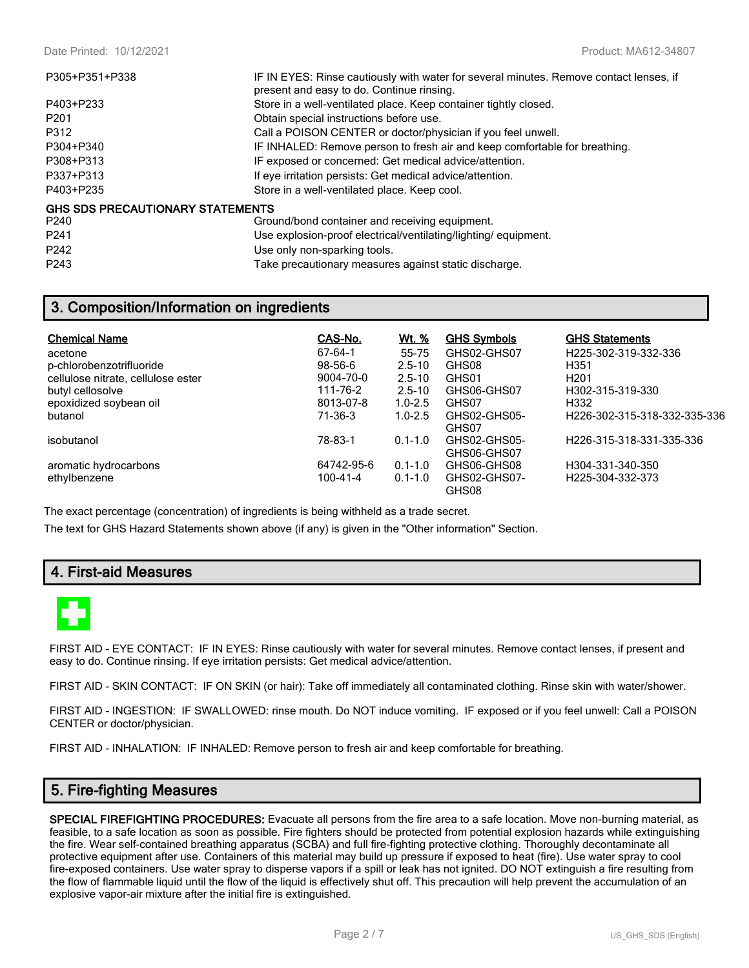| P305+P351+P338                   | IF IN EYES: Rinse cautiously with water for several minutes. Remove contact lenses, if<br>present and easy to do. Continue rinsing. |
|----------------------------------|-------------------------------------------------------------------------------------------------------------------------------------|
| P403+P233                        | Store in a well-ventilated place. Keep container tightly closed.                                                                    |
| P <sub>201</sub>                 | Obtain special instructions before use.                                                                                             |
| P312                             | Call a POISON CENTER or doctor/physician if you feel unwell.                                                                        |
| P304+P340                        | IF INHALED: Remove person to fresh air and keep comfortable for breathing.                                                          |
| P308+P313                        | IF exposed or concerned: Get medical advice/attention.                                                                              |
| P337+P313                        | If eye irritation persists: Get medical advice/attention.                                                                           |
| P403+P235                        | Store in a well-ventilated place. Keep cool.                                                                                        |
| GHS SDS PRECAUTIONARY STATEMENTS |                                                                                                                                     |
| P240                             | Ground/bond container and receiving equipment.                                                                                      |
| P <sub>241</sub>                 | Use explosion-proof electrical/ventilating/lighting/ equipment.                                                                     |
| P <sub>242</sub>                 | Use only non-sparking tools.                                                                                                        |

P243 Take precautionary measures against static discharge.

## **3. Composition/Information on ingredients**

| <b>Chemical Name</b>               | CAS-No.       | <u>Wt. %</u> | <b>GHS Symbols</b>          | <b>GHS Statements</b>        |
|------------------------------------|---------------|--------------|-----------------------------|------------------------------|
| acetone                            | 67-64-1       | 55-75        | GHS02-GHS07                 | H225-302-319-332-336         |
| p-chlorobenzotrifluoride           | $98 - 56 - 6$ | $2.5 - 10$   | GHS08                       | H351                         |
| cellulose nitrate, cellulose ester | 9004-70-0     | $2.5 - 10$   | GHS01                       | H <sub>201</sub>             |
| butyl cellosolve                   | 111-76-2      | $2.5 - 10$   | GHS06-GHS07                 | H302-315-319-330             |
| epoxidized soybean oil             | 8013-07-8     | $1.0 - 2.5$  | GHS07                       | H332                         |
| butanol                            | 71-36-3       | $1.0 - 2.5$  | GHS02-GHS05-<br>GHS07       | H226-302-315-318-332-335-336 |
| isobutanol                         | 78-83-1       | $0.1 - 1.0$  | GHS02-GHS05-<br>GHS06-GHS07 | H226-315-318-331-335-336     |
| aromatic hydrocarbons              | 64742-95-6    | $0.1 - 1.0$  | GHS06-GHS08                 | H304-331-340-350             |
| ethylbenzene                       | 100-41-4      | $0.1 - 1.0$  | GHS02-GHS07-<br>GHS08       | H225-304-332-373             |

The exact percentage (concentration) of ingredients is being withheld as a trade secret.

The text for GHS Hazard Statements shown above (if any) is given in the "Other information" Section.

## **4. First-aid Measures**



FIRST AID - EYE CONTACT: IF IN EYES: Rinse cautiously with water for several minutes. Remove contact lenses, if present and easy to do. Continue rinsing. If eye irritation persists: Get medical advice/attention.

FIRST AID - SKIN CONTACT: IF ON SKIN (or hair): Take off immediately all contaminated clothing. Rinse skin with water/shower.

FIRST AID - INGESTION: IF SWALLOWED: rinse mouth. Do NOT induce vomiting. IF exposed or if you feel unwell: Call a POISON CENTER or doctor/physician.

FIRST AID - INHALATION: IF INHALED: Remove person to fresh air and keep comfortable for breathing.

## **5. Fire-fighting Measures**

**SPECIAL FIREFIGHTING PROCEDURES:** Evacuate all persons from the fire area to a safe location. Move non-burning material, as feasible, to a safe location as soon as possible. Fire fighters should be protected from potential explosion hazards while extinguishing the fire. Wear self-contained breathing apparatus (SCBA) and full fire-fighting protective clothing. Thoroughly decontaminate all protective equipment after use. Containers of this material may build up pressure if exposed to heat (fire). Use water spray to cool fire-exposed containers. Use water spray to disperse vapors if a spill or leak has not ignited. DO NOT extinguish a fire resulting from the flow of flammable liquid until the flow of the liquid is effectively shut off. This precaution will help prevent the accumulation of an explosive vapor-air mixture after the initial fire is extinguished.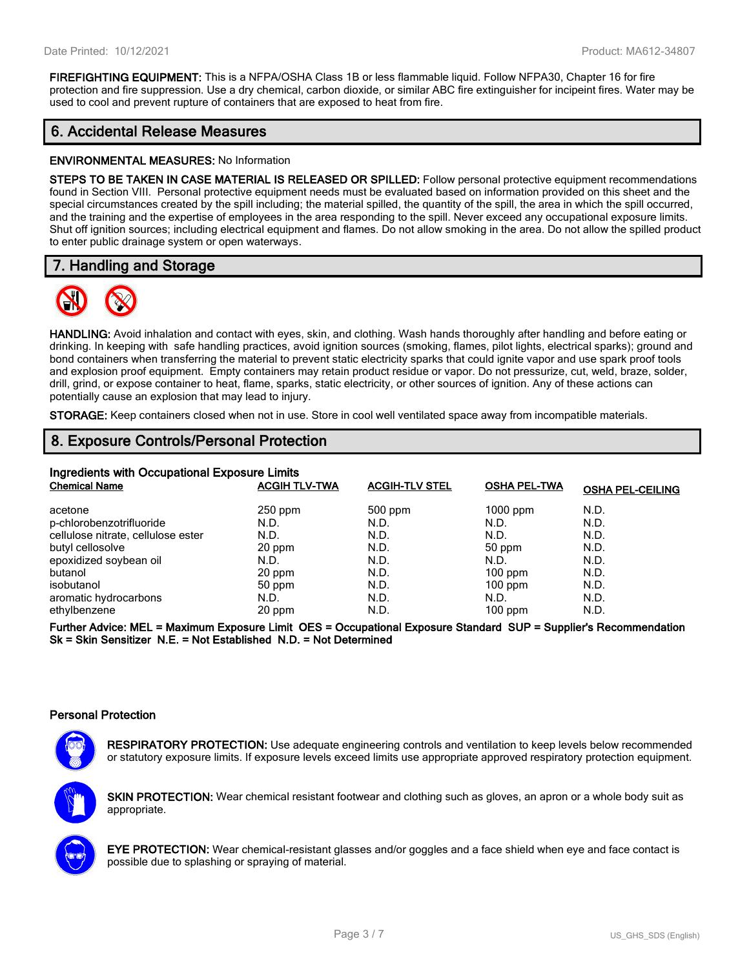**FIREFIGHTING EQUIPMENT:** This is a NFPA/OSHA Class 1B or less flammable liquid. Follow NFPA30, Chapter 16 for fire protection and fire suppression. Use a dry chemical, carbon dioxide, or similar ABC fire extinguisher for incipeint fires. Water may be used to cool and prevent rupture of containers that are exposed to heat from fire.

## **6. Accidental Release Measures**

#### **ENVIRONMENTAL MEASURES:** No Information

**STEPS TO BE TAKEN IN CASE MATERIAL IS RELEASED OR SPILLED:** Follow personal protective equipment recommendations found in Section VIII. Personal protective equipment needs must be evaluated based on information provided on this sheet and the special circumstances created by the spill including; the material spilled, the quantity of the spill, the area in which the spill occurred, and the training and the expertise of employees in the area responding to the spill. Never exceed any occupational exposure limits. Shut off ignition sources; including electrical equipment and flames. Do not allow smoking in the area. Do not allow the spilled product to enter public drainage system or open waterways.

## **7. Handling and Storage**



**HANDLING:** Avoid inhalation and contact with eyes, skin, and clothing. Wash hands thoroughly after handling and before eating or drinking. In keeping with safe handling practices, avoid ignition sources (smoking, flames, pilot lights, electrical sparks); ground and bond containers when transferring the material to prevent static electricity sparks that could ignite vapor and use spark proof tools and explosion proof equipment. Empty containers may retain product residue or vapor. Do not pressurize, cut, weld, braze, solder, drill, grind, or expose container to heat, flame, sparks, static electricity, or other sources of ignition. Any of these actions can potentially cause an explosion that may lead to injury.

**STORAGE:** Keep containers closed when not in use. Store in cool well ventilated space away from incompatible materials.

## **8. Exposure Controls/Personal Protection**

| Ingredients with Occupational Exposure Limits |                      |                       |                     |                         |  |  |
|-----------------------------------------------|----------------------|-----------------------|---------------------|-------------------------|--|--|
| <b>Chemical Name</b>                          | <b>ACGIH TLV-TWA</b> | <b>ACGIH-TLV STEL</b> | <b>OSHA PEL-TWA</b> | <b>OSHA PEL-CEILING</b> |  |  |
| acetone                                       | $250$ ppm            | 500 ppm               | $1000$ ppm          | N.D.                    |  |  |
| p-chlorobenzotrifluoride                      | N.D.                 | N.D.                  | N.D.                | N.D.                    |  |  |
| cellulose nitrate, cellulose ester            | N.D.                 | N.D.                  | N.D.                | N.D.                    |  |  |
| butyl cellosolve                              | 20 ppm               | N.D.                  | 50 ppm              | N.D.                    |  |  |
| epoxidized soybean oil                        | N.D.                 | N.D.                  | N.D.                | N.D.                    |  |  |
| butanol                                       | 20 ppm               | N.D.                  | $100$ ppm           | N.D.                    |  |  |
| isobutanol                                    | 50 ppm               | N.D.                  | $100$ ppm           | N.D.                    |  |  |
| aromatic hydrocarbons                         | N.D.                 | N.D.                  | N.D.                | N.D.                    |  |  |
| ethylbenzene                                  | 20 ppm               | N.D.                  | $100$ ppm           | N.D.                    |  |  |

**Further Advice: MEL = Maximum Exposure Limit OES = Occupational Exposure Standard SUP = Supplier's Recommendation Sk = Skin Sensitizer N.E. = Not Established N.D. = Not Determined**

#### **Personal Protection**



**RESPIRATORY PROTECTION:** Use adequate engineering controls and ventilation to keep levels below recommended or statutory exposure limits. If exposure levels exceed limits use appropriate approved respiratory protection equipment.

**SKIN PROTECTION:** Wear chemical resistant footwear and clothing such as gloves, an apron or a whole body suit as appropriate.



**EYE PROTECTION:** Wear chemical-resistant glasses and/or goggles and a face shield when eye and face contact is possible due to splashing or spraying of material.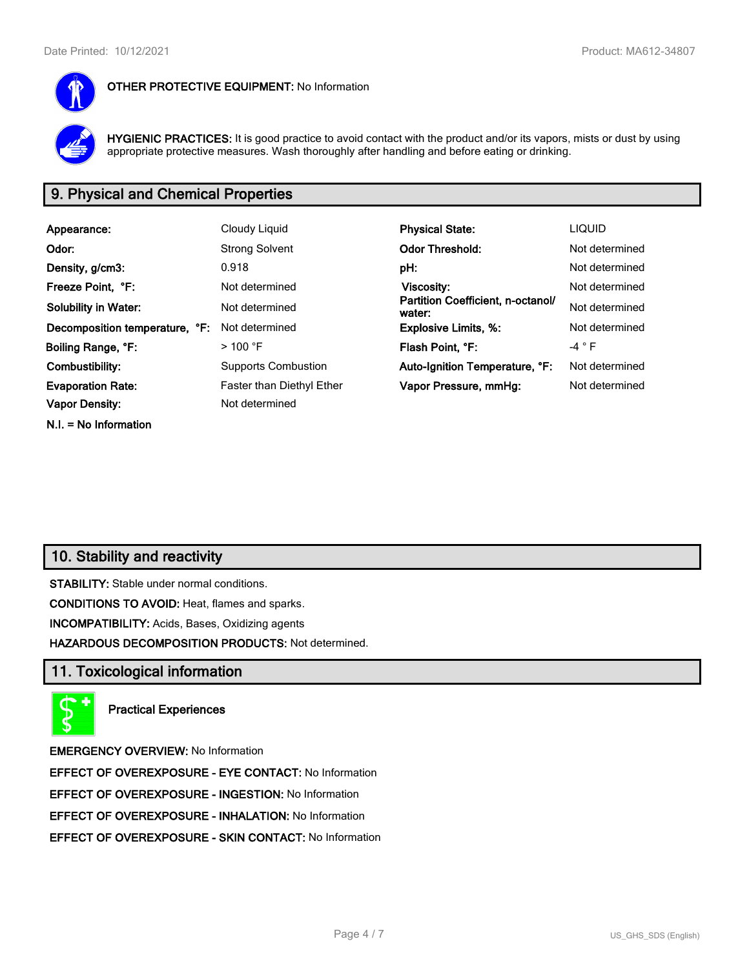

#### **OTHER PROTECTIVE EQUIPMENT:** No Information

**HYGIENIC PRACTICES:** It is good practice to avoid contact with the product and/or its vapors, mists or dust by using appropriate protective measures. Wash thoroughly after handling and before eating or drinking.

# **9. Physical and Chemical Properties**

| Appearance:                    | Cloudy Liquid             | <b>Physical State:</b>                      | <b>LIQUID</b>  |
|--------------------------------|---------------------------|---------------------------------------------|----------------|
| Odor:                          | <b>Strong Solvent</b>     | <b>Odor Threshold:</b>                      | Not determined |
| Density, g/cm3:                | 0.918                     | pH:                                         | Not determined |
| Freeze Point, °F:              | Not determined            | Viscosity:                                  | Not determined |
| <b>Solubility in Water:</b>    | Not determined            | Partition Coefficient, n-octanol/<br>water: | Not determined |
| Decomposition temperature, °F: | Not determined            | <b>Explosive Limits, %:</b>                 | Not determined |
| Boiling Range, °F:             | $>$ 100 °F                | Flash Point, °F:                            | -4 ° F         |
| Combustibility:                | Supports Combustion       | Auto-Ignition Temperature, °F:              | Not determined |
| <b>Evaporation Rate:</b>       | Faster than Diethyl Ether | Vapor Pressure, mmHg:                       | Not determined |
| <b>Vapor Density:</b>          | Not determined            |                                             |                |
| $N.I. = No$ Information        |                           |                                             |                |

## **10. Stability and reactivity**

**STABILITY:** Stable under normal conditions.

**CONDITIONS TO AVOID:** Heat, flames and sparks.

**INCOMPATIBILITY:** Acids, Bases, Oxidizing agents

**HAZARDOUS DECOMPOSITION PRODUCTS:** Not determined.

## **11. Toxicological information**



**Practical Experiences**

**EMERGENCY OVERVIEW:** No Information

**EFFECT OF OVEREXPOSURE - EYE CONTACT:** No Information

**EFFECT OF OVEREXPOSURE - INGESTION:** No Information

**EFFECT OF OVEREXPOSURE - INHALATION:** No Information

**EFFECT OF OVEREXPOSURE - SKIN CONTACT:** No Information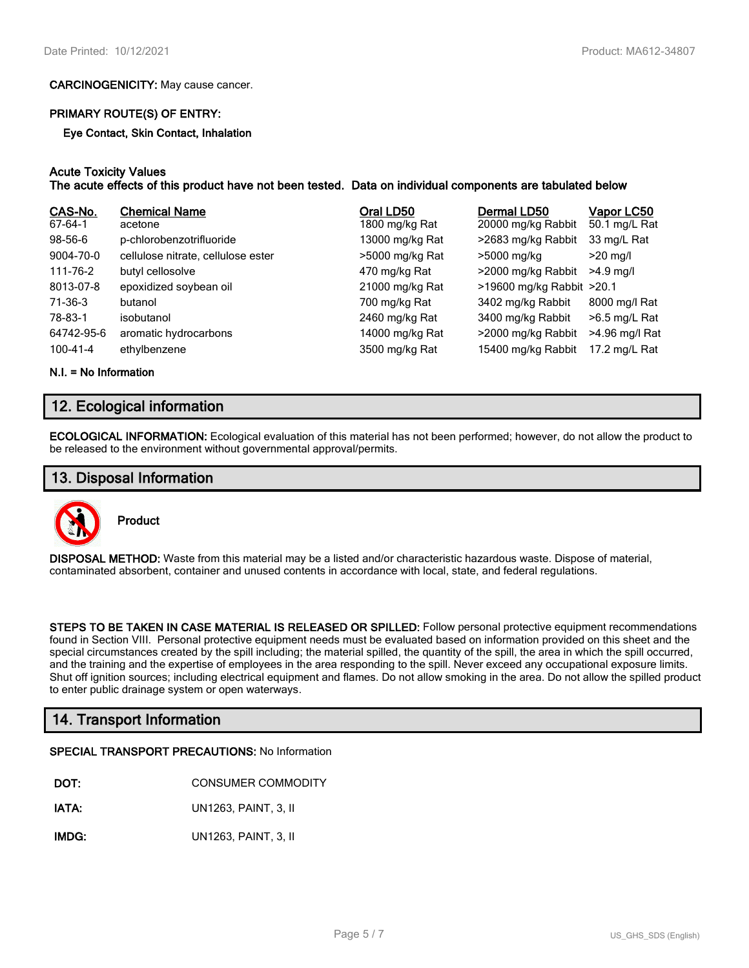#### **CARCINOGENICITY:** May cause cancer.

#### **PRIMARY ROUTE(S) OF ENTRY:**

**Eye Contact, Skin Contact, Inhalation**

#### **Acute Toxicity Values**

#### **The acute effects of this product have not been tested. Data on individual components are tabulated below**

| CAS-No.<br>67-64-1 | <b>Chemical Name</b><br>acetone    | Oral LD50<br>1800 mg/kg Rat | Dermal LD50<br>20000 mg/kg Rabbit | Vapor LC50<br>50.1 mg/L Rat |
|--------------------|------------------------------------|-----------------------------|-----------------------------------|-----------------------------|
| 98-56-6            | p-chlorobenzotrifluoride           | 13000 mg/kg Rat             | >2683 mg/kg Rabbit                | 33 mg/L Rat                 |
| 9004-70-0          | cellulose nitrate, cellulose ester | >5000 mg/kg Rat             | >5000 mg/kg                       | $>20$ mg/l                  |
| 111-76-2           | butyl cellosolve                   | 470 mg/kg Rat               | >2000 mg/kg Rabbit                | $>4.9$ mg/l                 |
| 8013-07-8          | epoxidized soybean oil             | 21000 mg/kg Rat             | >19600 mg/kg Rabbit >20.1         |                             |
| 71-36-3            | butanol                            | 700 mg/kg Rat               | 3402 mg/kg Rabbit                 | 8000 mg/l Rat               |
| 78-83-1            | isobutanol                         | 2460 mg/kg Rat              | 3400 mg/kg Rabbit                 | $>6.5$ mg/L Rat             |
| 64742-95-6         | aromatic hydrocarbons              | 14000 mg/kg Rat             | >2000 mg/kg Rabbit                | >4.96 mg/l Rat              |
| 100-41-4           | ethylbenzene                       | 3500 mg/kg Rat              | 15400 mg/kg Rabbit                | 17.2 mg/L Rat               |

**N.I. = No Information**

## **12. Ecological information**

**ECOLOGICAL INFORMATION:** Ecological evaluation of this material has not been performed; however, do not allow the product to be released to the environment without governmental approval/permits.

#### **13. Disposal Information**



**Product**

**DISPOSAL METHOD:** Waste from this material may be a listed and/or characteristic hazardous waste. Dispose of material, contaminated absorbent, container and unused contents in accordance with local, state, and federal regulations.

**STEPS TO BE TAKEN IN CASE MATERIAL IS RELEASED OR SPILLED:** Follow personal protective equipment recommendations found in Section VIII. Personal protective equipment needs must be evaluated based on information provided on this sheet and the special circumstances created by the spill including; the material spilled, the quantity of the spill, the area in which the spill occurred, and the training and the expertise of employees in the area responding to the spill. Never exceed any occupational exposure limits. Shut off ignition sources; including electrical equipment and flames. Do not allow smoking in the area. Do not allow the spilled product to enter public drainage system or open waterways.

## **14. Transport Information**

#### **SPECIAL TRANSPORT PRECAUTIONS:** No Information

**IATA:** UN1263, PAINT, 3, II

**IMDG:** UN1263, PAINT, 3, II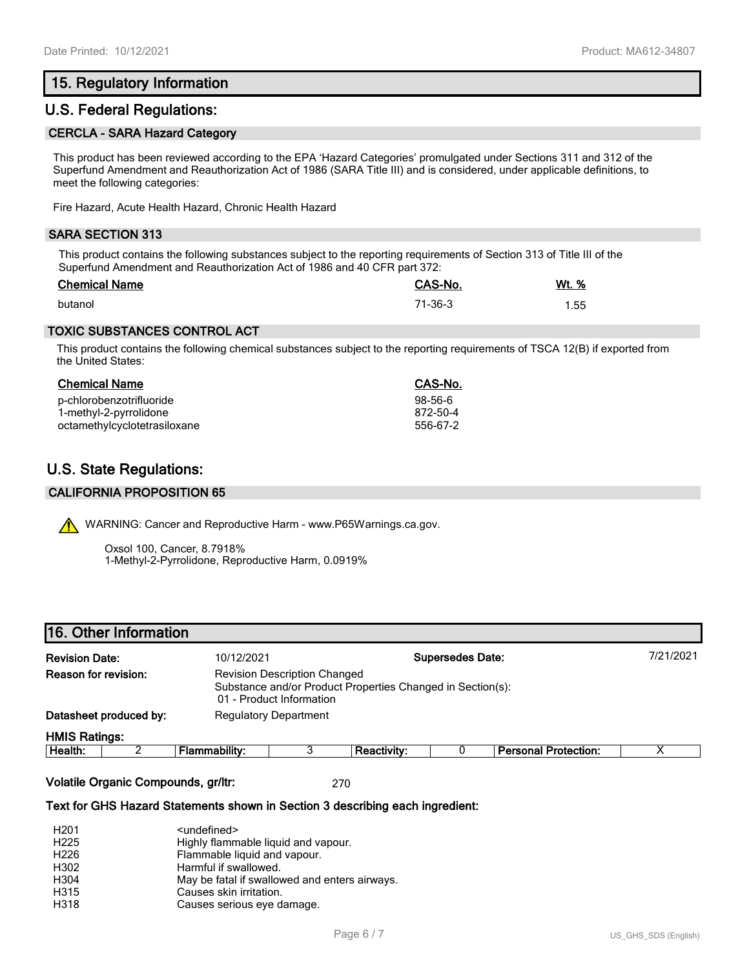## **15. Regulatory Information**

## **U.S. Federal Regulations:**

#### **CERCLA - SARA Hazard Category**

This product has been reviewed according to the EPA 'Hazard Categories' promulgated under Sections 311 and 312 of the Superfund Amendment and Reauthorization Act of 1986 (SARA Title III) and is considered, under applicable definitions, to meet the following categories:

Fire Hazard, Acute Health Hazard, Chronic Health Hazard

#### **SARA SECTION 313**

This product contains the following substances subject to the reporting requirements of Section 313 of Title III of the Superfund Amendment and Reauthorization Act of 1986 and 40 CFR part 372:

| <b>Chemical Name</b> | CAS-No. | Wt. % |
|----------------------|---------|-------|
| butanol              | 71-36-3 | 1.55  |

#### **TOXIC SUBSTANCES CONTROL ACT**

This product contains the following chemical substances subject to the reporting requirements of TSCA 12(B) if exported from the United States:

# **Chemical Name CAS-No.**

| p-chlorobenzotrifluoride     | 98-56-6  |
|------------------------------|----------|
| 1-methyl-2-pyrrolidone       | 872-50-4 |
| octamethylcyclotetrasiloxane | 556-67-2 |

# **U.S. State Regulations:**

#### **CALIFORNIA PROPOSITION 65**

WARNING: Cancer and Reproductive Harm - www.P65Warnings.ca.gov.

Oxsol 100, Cancer, 8.7918% 1-Methyl-2-Pyrrolidone, Reproductive Harm, 0.0919%

### **16. Other Information**

| <b>HMIS Ratings:</b><br>Hoolth <sup>.</sup> | Flammahility: |                                     | Reactivity:                                                |                         | <b>Pareonal Protection:</b> |           |
|---------------------------------------------|---------------|-------------------------------------|------------------------------------------------------------|-------------------------|-----------------------------|-----------|
| Datasheet produced by:                      |               | <b>Regulatory Department</b>        |                                                            |                         |                             |           |
|                                             |               | 01 - Product Information            | Substance and/or Product Properties Changed in Section(s): |                         |                             |           |
| Reason for revision:                        |               | <b>Revision Description Changed</b> |                                                            |                         |                             |           |
| <b>Revision Date:</b>                       | 10/12/2021    |                                     |                                                            | <b>Supersedes Date:</b> |                             | 7/21/2021 |
|                                             |               |                                     |                                                            |                         |                             |           |

| <b>Health:</b><br>пu | .<br>ımmabilitv:<br>.<br>- 12. | Reactivitv: | ਂ Personal Protection: |  |
|----------------------|--------------------------------|-------------|------------------------|--|
|                      |                                |             |                        |  |

**Volatile Organic Compounds, gr/ltr:** 270

#### **Text for GHS Hazard Statements shown in Section 3 describing each ingredient:**

| H <sub>201</sub> | <undefined></undefined>                       |
|------------------|-----------------------------------------------|
| H <sub>225</sub> | Highly flammable liquid and vapour.           |
| H <sub>226</sub> | Flammable liquid and vapour.                  |
| H302             | Harmful if swallowed.                         |
| H304             | May be fatal if swallowed and enters airways. |
| H315             | Causes skin irritation.                       |
| H318             | Causes serious eye damage.                    |
|                  |                                               |